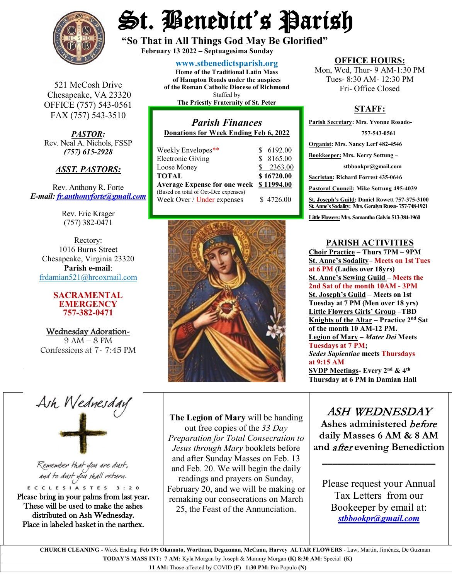

# St. Benedict's Parish

**"So That in All Things God May Be Glorified" February 13 <sup>2022</sup> – Septuagesima Sunday**

**[www.stbenedictsparish.org](http://www.stbenedictsparish.org/)**

Staffed by

521 McCosh Drive Chesapeake, VA 23320 OFFICE (757) 543-0561 FAX (757) 543-3510

*PASTOR:* Rev. Neal A. Nichols, FSSP *(757) 615-2928* 

## *ASST. PASTORS:*

Rev. Anthony R. Forte *E-mail: [fr.anthonyforte@gmail.com](mailto:fr.anthonyforte@gmail.com)*

> Rev. Eric Krager (757) 382-0471

Rectory: 1016 Burns Street Chesapeake, Virginia 23320 **Parish e-mail**: [frdamian521@hrcoxmail.com](mailto:frdamian521@hrcoxmail.com)

#### **SACRAMENTAL EMERGENCY 757-382-0471**

Wednesday Adoration-9 AM – 8 PM Confessions at 7- 7:45 PM

# **Home of the Traditional Latin Mass of Hampton Roads under the auspices of the Roman Catholic Diocese of Richmond The Priestly Fraternity of St. Peter**

# *Parish Finances* **Donations for Week Ending Feb 6, 2022** Weekly Envelopes<sup>\*\*</sup>  $$6192.00$

| $\ldots$ cent $\ldots$ energies      | <u>visewy</u> |
|--------------------------------------|---------------|
| <b>Electronic Giving</b>             | \$8165.00     |
| Loose Money                          | \$2363.00     |
| TOTAL                                | \$16720.00    |
| <b>Average Expense for one week</b>  | \$11994.00    |
| (Based on total of Oct-Dec expenses) |               |
| Week Over / Under expenses           | \$4726.00     |
|                                      |               |



#### **OFFICE HOURS:**

Mon, Wed, Thur- 9 AM-1:30 PM Tues- 8:30 AM- 12:30 PM Fri- Office Closed

## **STAFF:**

**Parish Secretary: Mrs. Yvonne Rosado- 757-543-0561 Organist: Mrs. Nancy Lerf 482-4546 Bookkeeper: Mrs. Kerry Sottung – stbbookpr@gmail.com Sacristan: Richard Forrest 435-0646 Pastoral Council: Mike Sottung 495-4039 St. Joseph's Guild: Daniel Rowett 757-375-3100 St. Anne's Sodality: Mrs. Geralyn Russo-757-748-1921** Little Flowers: Mrs. Samantha Galvin 513-384-1960

## **PARISH ACTIVITIES**

**Choir Practice – Thurs 7PM – 9PM St. Anne's Sodality– Meets on 1st Tues at 6 PM (Ladies over 18yrs) St. Anne's Sewing Guild – Meets the 2nd Sat of the month 10AM - 3PM St. Joseph's Guild – Meets on 1st Tuesday at 7 PM (Men over 18 yrs) Little Flowers Girls' Group –TBD Knights of the Altar – Practice 2nd Sat of the month 10 AM-12 PM. Legion of Mary –** *Mater Dei* **Meets Tuesdays at 7 PM;**  *Sedes Sapientiae* **meets Thursdays at 9:15 AM SVDP Meetings- Every 2nd & 4th Thursday at 6 PM in Damian Hall**

# ASH WEDNESDAY

**Ashes administered** before **daily Masses 6 AM & 8 AM and** after **evening Benediction**

**\_\_\_\_\_\_\_\_\_\_\_\_\_\_\_\_\_\_\_\_\_\_**

Please request your Annual Tax Lettersfrom our Bookeeper by email at: *[stbbookpr@gmail.com](mailto:stbbookpr@gmail.com)*

 **CHURCH CLEANING -** Week Ending **Feb 19: Okamoto, Wortham, Deguzman, McCann, Harvey ALTAR FLOWERS** - Law, Martin, Jiménez, De Guzman **TODAY'S MASS INT: 7 AM:** Kyla Morgan by Joseph & Mammy Morgan **(K) 8:30 AM:** Special **(K)** 

**The Legion of Mary** will be handing  out free copies of the *33 Day Preparation for Total Consecration to Jesus through Mary* booklets before and after Sunday Masses on Feb. 13 and Feb. 20. We will begin the daily readings and prayers on Sunday, February 20, and we will be making or remaking our consecrations on March 25, the Feast of the Annunciation.

**11 AM:** Those affected by COVID **(F) 1:30 PM:** Pro Populo **(N)**

Ash Wednesday

Remember that you are dust, and to dust you shall return.

ECCLESIASTES 3:20 Please bring in your palms from last year. These will be used to make the ashes distributed on Ash Wednesday. Place in labeled basket in the narthex.